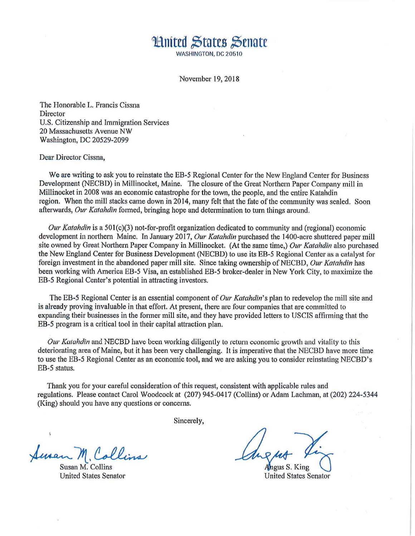## **\*Huited States Senate** WASHINGTON, DC 20510

November 19, 2018

The Honorable L. Francis Cissna **Director** U.S. Citizenship and Immigration Services 20 Massachusetts A venue NW Washington, DC 20529-2099

Dear Director Cissna,

We are writing to ask you to reinstate the EB-5 Regional Center for the New England Center for Business Development (NECBD) in Millinocket, Maine. The closure of the Great Northern Paper Company mill in Millinocket in 2008 was an economic catastrophe for the town, the people, and the entire Katahdin region. When the mill stacks came down in 2014, many felt that the fate of the community was sealed. Soon afterwards, *Our Katahdin* formed, bringing hope and determination to turn things around.

*Our Katahdin* is a 501(c)(3) not-for-profit organization dedicated to community and (regional) economic development in northern Maine. In January 2017, *Our Katahdin* purchased the 1400-acre shuttered paper mill site owned by Great Northern Paper Company in Millinocket. (At the same time,) *Our Katahdin* also purchased the New England Center for Business Development (NECBD) to use its EB-5 Regional Center as a catalyst for foreign investment in the abandoned paper mill site. Since taking ownership of NECBD, *Our Katahdin* has been working with America EB-5 Visa, an established EB-5 broker-dealer in New York City, to maximize the EB-5 Regional Center's potential in attracting investors.

The EB-5 Regional Center is an essential component of *Our Katahdin's* plan to redevelop the mill site and is already proving invaluable in that effort. At present, there are four companies that are committed to expanding their businesses in the former mill site, and they have provided letters to USCIS affirming that the EB-5 program is a critical tool in their capital attraction plan.

*Our Katahdin* and NECBD have been working diligently to return economic growth and vitality to this deteriorating area of Maine, but it has been very challenging. It is imperative that the NECBD have more time to use the EB-5 Regional Center as an economic tool, and we are asking you to consider reinstating NECBD's EB-5 status.

Thank you for your careful consideration of this request, consistent with applicable rules and regulations. Please contact Carol Woodcock at (207) 945-0417 (Collins) or Adam Lachman, at (202) 224-5344 (King) should you have any questions or concerns.

Sincerely,

Susan M. Collins

Susan M. Collins United States Senator

ngus S. King

**United States Senator**